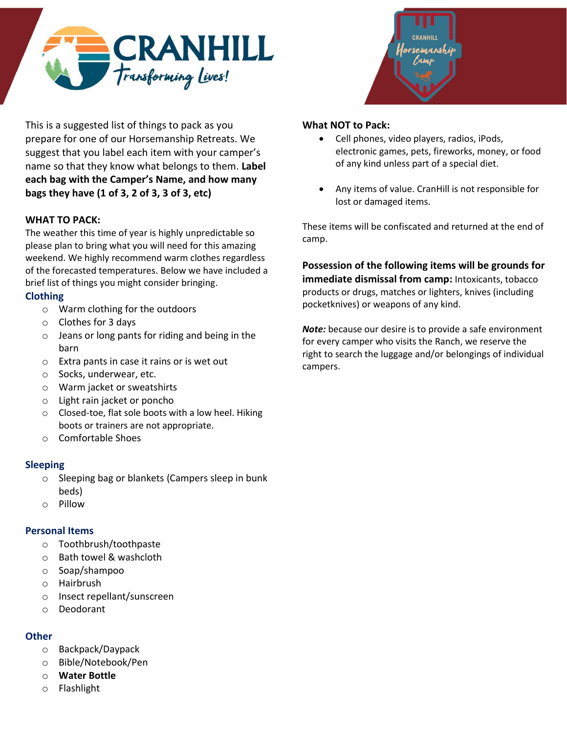



This is a suggested list of things to pack as you prepare for one of our Horsemanship Retreats. We suggest that you label each item with your camper's name so that they know what belongs to them. **Label each bag with the Camper's Name, and how many bags they have (1 of 3, 2 of 3, 3 of 3, etc)**

## **WHAT TO PACK:**

The weather this time of year is highly unpredictable so please plan to bring what you will need for this amazing weekend. We highly recommend warm clothes regardless of the forecasted temperatures. Below we have included a brief list of things you might consider bringing.

## **Clothing**

- o Warm clothing for the outdoors
- o Clothes for 3 days
- o Jeans or long pants for riding and being in the barn
- o Extra pants in case it rains or is wet out
- o Socks, underwear, etc.
- o Warm jacket or sweatshirts
- o Light rain jacket or poncho
- o Closed-toe, flat sole boots with a low heel. Hiking boots or trainers are not appropriate.
- o Comfortable Shoes

## **Sleeping**

- o Sleeping bag or blankets (Campers sleep in bunk beds)
- o Pillow

## **Personal Items**

- o Toothbrush/toothpaste
- o Bath towel & washcloth
- o Soap/shampoo
- o Hairbrush
- o Insect repellant/sunscreen
- o Deodorant

# **Other**

- o Backpack/Daypack
- o Bible/Notebook/Pen
- o **Water Bottle**
- o Flashlight

### **What NOT to Pack:**

- Cell phones, video players, radios, iPods, electronic games, pets, fireworks, money, or food of any kind unless part of a special diet.
- Any items of value. CranHill is not responsible for lost or damaged items.

These items will be confiscated and returned at the end of camp.

**Possession of the following items will be grounds for immediate dismissal from camp:** Intoxicants, tobacco products or drugs, matches or lighters, knives (including pocketknives) or weapons of any kind.

*Note:* because our desire is to provide a safe environment for every camper who visits the Ranch, we reserve the right to search the luggage and/or belongings of individual campers.